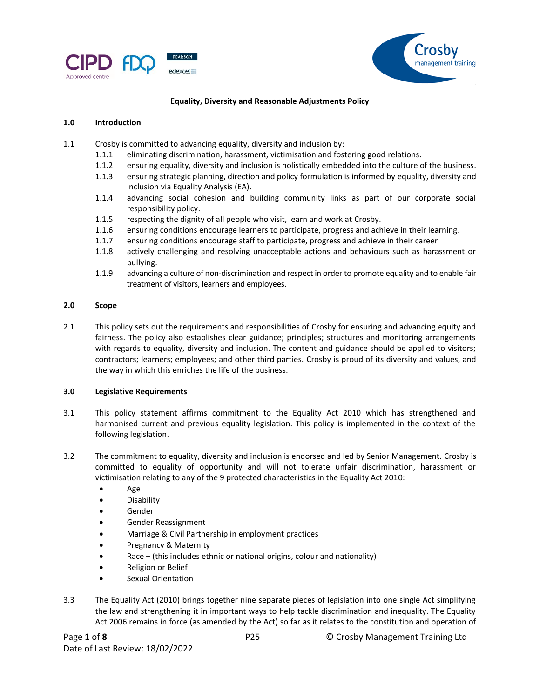



## **Equality, Diversity and Reasonable Adjustments Policy**

### **1.0 Introduction**

- 1.1 Crosby is committed to advancing equality, diversity and inclusion by:
	- 1.1.1 eliminating discrimination, harassment, victimisation and fostering good relations.
	- 1.1.2 ensuring equality, diversity and inclusion is holistically embedded into the culture of the business.
	- 1.1.3 ensuring strategic planning, direction and policy formulation is informed by equality, diversity and inclusion via Equality Analysis (EA).
	- 1.1.4 advancing social cohesion and building community links as part of our corporate social responsibility policy.
	- 1.1.5 respecting the dignity of all people who visit, learn and work at Crosby.
	- 1.1.6 ensuring conditions encourage learners to participate, progress and achieve in their learning.
	- 1.1.7 ensuring conditions encourage staff to participate, progress and achieve in their career
	- 1.1.8 actively challenging and resolving unacceptable actions and behaviours such as harassment or bullying.
	- 1.1.9 advancing a culture of non-discrimination and respect in order to promote equality and to enable fair treatment of visitors, learners and employees.

## **2.0 Scope**

2.1 This policy sets out the requirements and responsibilities of Crosby for ensuring and advancing equity and fairness. The policy also establishes clear guidance; principles; structures and monitoring arrangements with regards to equality, diversity and inclusion. The content and guidance should be applied to visitors; contractors; learners; employees; and other third parties. Crosby is proud of its diversity and values, and the way in which this enriches the life of the business.

### **3.0 Legislative Requirements**

- 3.1 This policy statement affirms commitment to the Equality Act 2010 which has strengthened and harmonised current and previous equality legislation. This policy is implemented in the context of the following legislation.
- 3.2 The commitment to equality, diversity and inclusion is endorsed and led by Senior Management. Crosby is committed to equality of opportunity and will not tolerate unfair discrimination, harassment or victimisation relating to any of the 9 protected characteristics in the Equality Act 2010:
	- Age
	- Disability
	- Gender
	- Gender Reassignment
	- Marriage & Civil Partnership in employment practices
	- Pregnancy & Maternity
	- Race (this includes ethnic or national origins, colour and nationality)
	- Religion or Belief
	- Sexual Orientation
- 3.3 The Equality Act (2010) brings together nine separate pieces of legislation into one single Act simplifying the law and strengthening it in important ways to help tackle discrimination and inequality. The Equality Act 2006 remains in force (as amended by the Act) so far as it relates to the constitution and operation of

Page **1** of **8** P25 © Crosby Management Training Ltd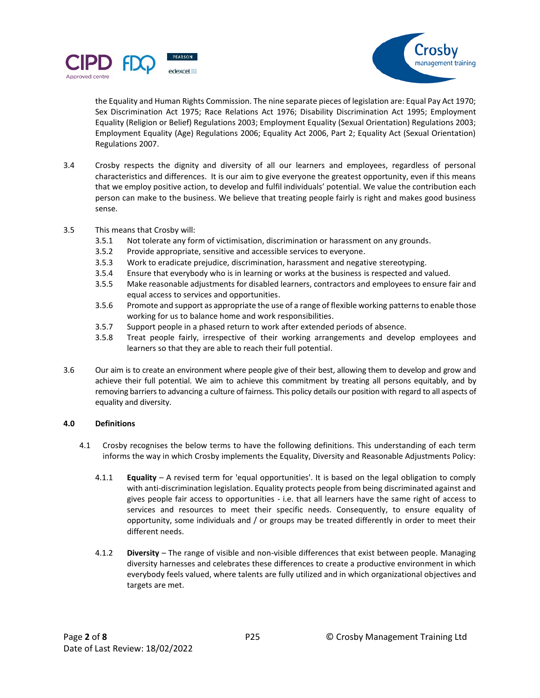



the Equality and Human Rights Commission. The nine separate pieces of legislation are: Equal Pay Act 1970; Sex Discrimination Act 1975; Race Relations Act 1976; Disability Discrimination Act 1995; Employment Equality (Religion or Belief) Regulations 2003; Employment Equality (Sexual Orientation) Regulations 2003; Employment Equality (Age) Regulations 2006; Equality Act 2006, Part 2; Equality Act (Sexual Orientation) Regulations 2007.

- 3.4 Crosby respects the dignity and diversity of all our learners and employees, regardless of personal characteristics and differences. It is our aim to give everyone the greatest opportunity, even if this means that we employ positive action, to develop and fulfil individuals' potential. We value the contribution each person can make to the business. We believe that treating people fairly is right and makes good business sense.
- 3.5 This means that Crosby will:
	- 3.5.1 Not tolerate any form of victimisation, discrimination or harassment on any grounds.
	- 3.5.2 Provide appropriate, sensitive and accessible services to everyone.
	- 3.5.3 Work to eradicate prejudice, discrimination, harassment and negative stereotyping.
	- 3.5.4 Ensure that everybody who is in learning or works at the business is respected and valued.
	- 3.5.5 Make reasonable adjustments for disabled learners, contractors and employees to ensure fair and equal access to services and opportunities.
	- 3.5.6 Promote and support as appropriate the use of a range of flexible working patterns to enable those working for us to balance home and work responsibilities.
	- 3.5.7 Support people in a phased return to work after extended periods of absence.
	- 3.5.8 Treat people fairly, irrespective of their working arrangements and develop employees and learners so that they are able to reach their full potential.
- 3.6 Our aim is to create an environment where people give of their best, allowing them to develop and grow and achieve their full potential. We aim to achieve this commitment by treating all persons equitably, and by removing barriers to advancing a culture of fairness. This policy details our position with regard to all aspects of equality and diversity.

# **4.0 Definitions**

- 4.1 Crosby recognises the below terms to have the following definitions. This understanding of each term informs the way in which Crosby implements the Equality, Diversity and Reasonable Adjustments Policy:
	- 4.1.1 **Equality** A revised term for 'equal opportunities'. It is based on the legal obligation to comply with anti-discrimination legislation. Equality protects people from being discriminated against and gives people fair access to opportunities - i.e. that all learners have the same right of access to services and resources to meet their specific needs. Consequently, to ensure equality of opportunity, some individuals and / or groups may be treated differently in order to meet their different needs.
	- 4.1.2 **Diversity** The range of visible and non-visible differences that exist between people. Managing diversity harnesses and celebrates these differences to create a productive environment in which everybody feels valued, where talents are fully utilized and in which organizational objectives and targets are met.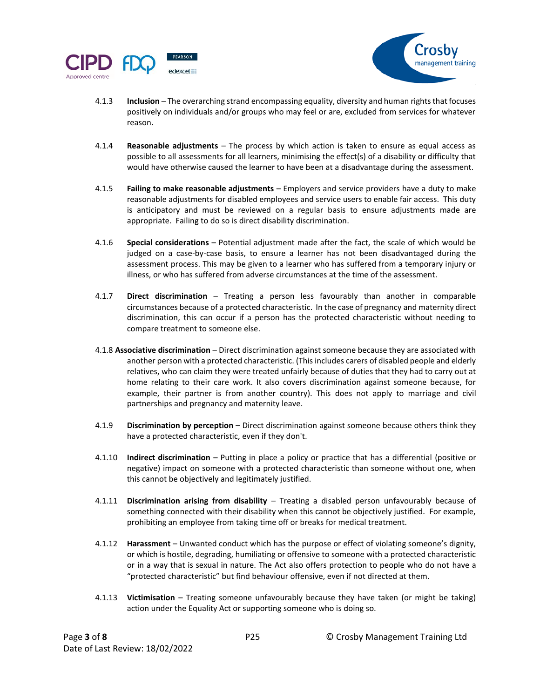



- 4.1.3 **Inclusion**  The overarching strand encompassing equality, diversity and human rights that focuses positively on individuals and/or groups who may feel or are, excluded from services for whatever reason.
- 4.1.4 **Reasonable adjustments** The process by which action is taken to ensure as equal access as possible to all assessments for all learners, minimising the effect(s) of a disability or difficulty that would have otherwise caused the learner to have been at a disadvantage during the assessment.
- 4.1.5 **Failing to make reasonable adjustments** Employers and service providers have a duty to make reasonable adjustments for disabled employees and service users to enable fair access. This duty is anticipatory and must be reviewed on a regular basis to ensure adjustments made are appropriate. Failing to do so is direct disability discrimination.
- 4.1.6 **Special considerations** Potential adjustment made after the fact, the scale of which would be judged on a case-by-case basis, to ensure a learner has not been disadvantaged during the assessment process. This may be given to a learner who has suffered from a temporary injury or illness, or who has suffered from adverse circumstances at the time of the assessment.
- 4.1.7 **Direct discrimination** Treating a person less favourably than another in comparable circumstances because of a protected characteristic. In the case of pregnancy and maternity direct discrimination, this can occur if a person has the protected characteristic without needing to compare treatment to someone else.
- 4.1.8 **Associative discrimination** Direct discrimination against someone because they are associated with another person with a protected characteristic. (This includes carers of disabled people and elderly relatives, who can claim they were treated unfairly because of duties that they had to carry out at home relating to their care work. It also covers discrimination against someone because, for example, their partner is from another country). This does not apply to marriage and civil partnerships and pregnancy and maternity leave.
- 4.1.9 **Discrimination by perception** Direct discrimination against someone because others think they have a protected characteristic, even if they don't.
- 4.1.10 **Indirect discrimination** Putting in place a policy or practice that has a differential (positive or negative) impact on someone with a protected characteristic than someone without one, when this cannot be objectively and legitimately justified.
- 4.1.11 **Discrimination arising from disability**  Treating a disabled person unfavourably because of something connected with their disability when this cannot be objectively justified. For example, prohibiting an employee from taking time off or breaks for medical treatment.
- 4.1.12 **Harassment**  Unwanted conduct which has the purpose or effect of violating someone's dignity, or which is hostile, degrading, humiliating or offensive to someone with a protected characteristic or in a way that is sexual in nature. The Act also offers protection to people who do not have a "protected characteristic" but find behaviour offensive, even if not directed at them.
- 4.1.13 **Victimisation**  Treating someone unfavourably because they have taken (or might be taking) action under the Equality Act or supporting someone who is doing so.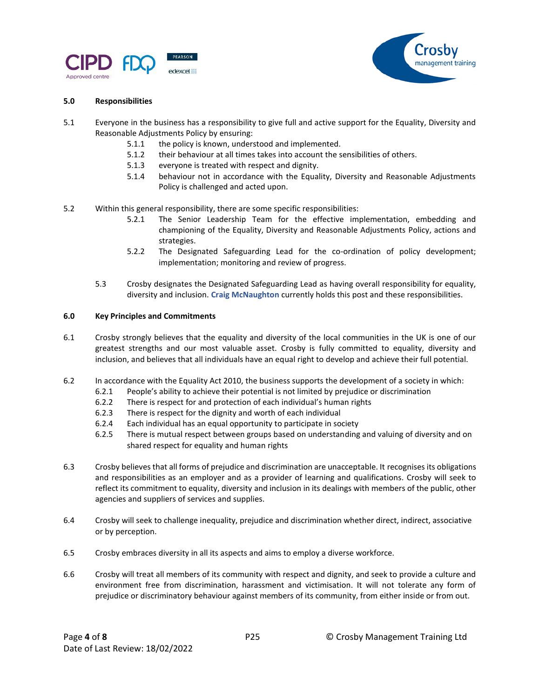



# **5.0 Responsibilities**

- 5.1 Everyone in the business has a responsibility to give full and active support for the Equality, Diversity and Reasonable Adjustments Policy by ensuring:
	- 5.1.1 the policy is known, understood and implemented.
	- 5.1.2 their behaviour at all times takes into account the sensibilities of others.
	- 5.1.3 everyone is treated with respect and dignity.
	- 5.1.4 behaviour not in accordance with the Equality, Diversity and Reasonable Adjustments Policy is challenged and acted upon.
- 5.2 Within this general responsibility, there are some specific responsibilities:
	- 5.2.1 The Senior Leadership Team for the effective implementation, embedding and championing of the Equality, Diversity and Reasonable Adjustments Policy, actions and strategies.
	- 5.2.2 The Designated Safeguarding Lead for the co-ordination of policy development; implementation; monitoring and review of progress.
	- 5.3 Crosby designates the Designated Safeguarding Lead as having overall responsibility for equality, diversity and inclusion. **Craig McNaughton** currently holds this post and these responsibilities.

## **6.0 Key Principles and Commitments**

- 6.1 Crosby strongly believes that the equality and diversity of the local communities in the UK is one of our greatest strengths and our most valuable asset. Crosby is fully committed to equality, diversity and inclusion, and believes that all individuals have an equal right to develop and achieve their full potential.
- 6.2 In accordance with the Equality Act 2010, the business supports the development of a society in which:
	- 6.2.1 People's ability to achieve their potential is not limited by prejudice or discrimination
	- 6.2.2 There is respect for and protection of each individual's human rights
	- 6.2.3 There is respect for the dignity and worth of each individual
	- 6.2.4 Each individual has an equal opportunity to participate in society
	- 6.2.5 There is mutual respect between groups based on understanding and valuing of diversity and on shared respect for equality and human rights
- 6.3 Crosby believes that all forms of prejudice and discrimination are unacceptable. It recognises its obligations and responsibilities as an employer and as a provider of learning and qualifications. Crosby will seek to reflect its commitment to equality, diversity and inclusion in its dealings with members of the public, other agencies and suppliers of services and supplies.
- 6.4 Crosby will seek to challenge inequality, prejudice and discrimination whether direct, indirect, associative or by perception.
- 6.5 Crosby embraces diversity in all its aspects and aims to employ a diverse workforce.
- 6.6 Crosby will treat all members of its community with respect and dignity, and seek to provide a culture and environment free from discrimination, harassment and victimisation. It will not tolerate any form of prejudice or discriminatory behaviour against members of its community, from either inside or from out.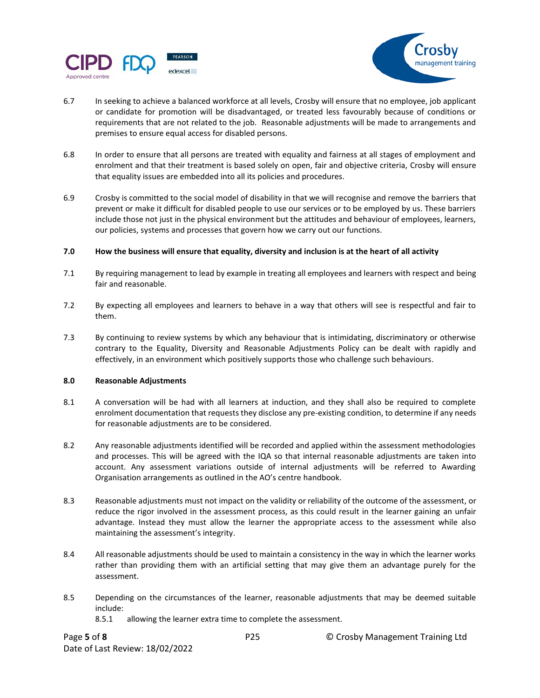



- 6.7 In seeking to achieve a balanced workforce at all levels, Crosby will ensure that no employee, job applicant or candidate for promotion will be disadvantaged, or treated less favourably because of conditions or requirements that are not related to the job. Reasonable adjustments will be made to arrangements and premises to ensure equal access for disabled persons.
- 6.8 In order to ensure that all persons are treated with equality and fairness at all stages of employment and enrolment and that their treatment is based solely on open, fair and objective criteria, Crosby will ensure that equality issues are embedded into all its policies and procedures.
- 6.9 Crosby is committed to the social model of disability in that we will recognise and remove the barriers that prevent or make it difficult for disabled people to use our services or to be employed by us. These barriers include those not just in the physical environment but the attitudes and behaviour of employees, learners, our policies, systems and processes that govern how we carry out our functions.

## **7.0 How the business will ensure that equality, diversity and inclusion is at the heart of all activity**

- 7.1 By requiring management to lead by example in treating all employees and learners with respect and being fair and reasonable.
- 7.2 By expecting all employees and learners to behave in a way that others will see is respectful and fair to them.
- 7.3 By continuing to review systems by which any behaviour that is intimidating, discriminatory or otherwise contrary to the Equality, Diversity and Reasonable Adjustments Policy can be dealt with rapidly and effectively, in an environment which positively supports those who challenge such behaviours.

### **8.0 Reasonable Adjustments**

- 8.1 A conversation will be had with all learners at induction, and they shall also be required to complete enrolment documentation that requests they disclose any pre-existing condition, to determine if any needs for reasonable adjustments are to be considered.
- 8.2 Any reasonable adjustments identified will be recorded and applied within the assessment methodologies and processes. This will be agreed with the IQA so that internal reasonable adjustments are taken into account. Any assessment variations outside of internal adjustments will be referred to Awarding Organisation arrangements as outlined in the AO's centre handbook.
- 8.3 Reasonable adjustments must not impact on the validity or reliability of the outcome of the assessment, or reduce the rigor involved in the assessment process, as this could result in the learner gaining an unfair advantage. Instead they must allow the learner the appropriate access to the assessment while also maintaining the assessment's integrity.
- 8.4 All reasonable adjustments should be used to maintain a consistency in the way in which the learner works rather than providing them with an artificial setting that may give them an advantage purely for the assessment.
- 8.5 Depending on the circumstances of the learner, reasonable adjustments that may be deemed suitable include:
	- 8.5.1 allowing the learner extra time to complete the assessment.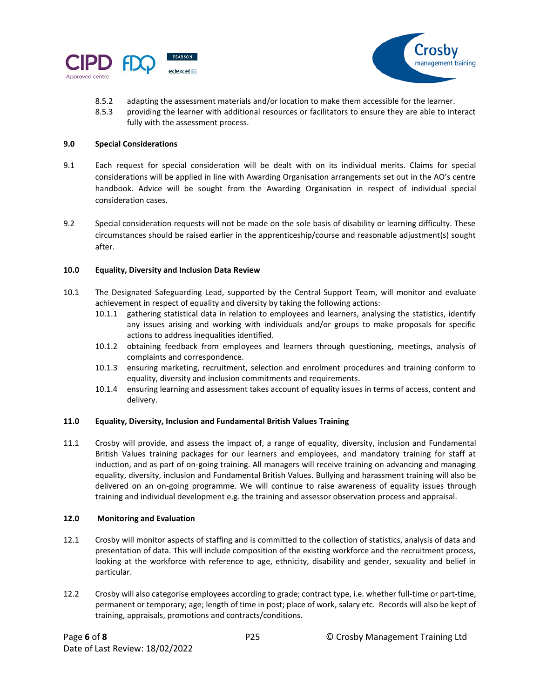



- 8.5.2 adapting the assessment materials and/or location to make them accessible for the learner.
- 8.5.3 providing the learner with additional resources or facilitators to ensure they are able to interact fully with the assessment process.

## **9.0 Special Considerations**

- 9.1 Each request for special consideration will be dealt with on its individual merits. Claims for special considerations will be applied in line with Awarding Organisation arrangements set out in the AO's centre handbook. Advice will be sought from the Awarding Organisation in respect of individual special consideration cases.
- 9.2 Special consideration requests will not be made on the sole basis of disability or learning difficulty. These circumstances should be raised earlier in the apprenticeship/course and reasonable adjustment(s) sought after.

## **10.0 Equality, Diversity and Inclusion Data Review**

- 10.1 The Designated Safeguarding Lead, supported by the Central Support Team, will monitor and evaluate achievement in respect of equality and diversity by taking the following actions:
	- 10.1.1 gathering statistical data in relation to employees and learners, analysing the statistics, identify any issues arising and working with individuals and/or groups to make proposals for specific actions to address inequalities identified.
	- 10.1.2 obtaining feedback from employees and learners through questioning, meetings, analysis of complaints and correspondence.
	- 10.1.3 ensuring marketing, recruitment, selection and enrolment procedures and training conform to equality, diversity and inclusion commitments and requirements.
	- 10.1.4 ensuring learning and assessment takes account of equality issues in terms of access, content and delivery.

# **11.0 Equality, Diversity, Inclusion and Fundamental British Values Training**

11.1 Crosby will provide, and assess the impact of, a range of equality, diversity, inclusion and Fundamental British Values training packages for our learners and employees, and mandatory training for staff at induction, and as part of on-going training. All managers will receive training on advancing and managing equality, diversity, inclusion and Fundamental British Values. Bullying and harassment training will also be delivered on an on-going programme. We will continue to raise awareness of equality issues through training and individual development e.g. the training and assessor observation process and appraisal.

# **12.0 Monitoring and Evaluation**

- 12.1 Crosby will monitor aspects of staffing and is committed to the collection of statistics, analysis of data and presentation of data. This will include composition of the existing workforce and the recruitment process, looking at the workforce with reference to age, ethnicity, disability and gender, sexuality and belief in particular.
- 12.2 Crosby will also categorise employees according to grade; contract type, i.e. whether full-time or part-time, permanent or temporary; age; length of time in post; place of work, salary etc. Records will also be kept of training, appraisals, promotions and contracts/conditions.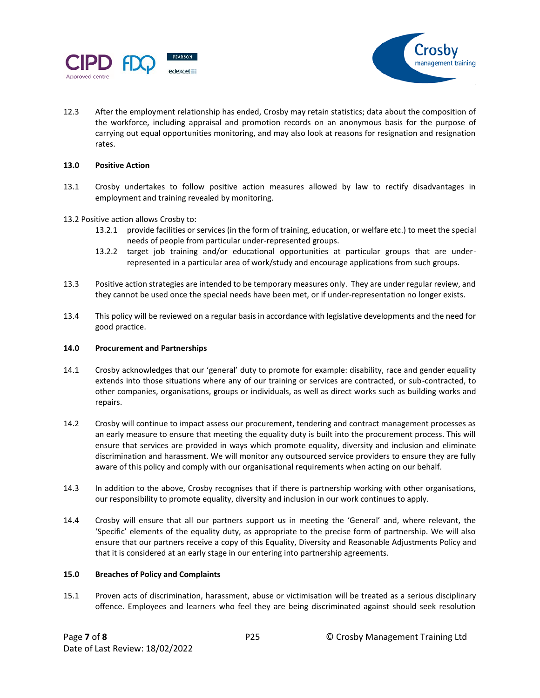



12.3 After the employment relationship has ended, Crosby may retain statistics; data about the composition of the workforce, including appraisal and promotion records on an anonymous basis for the purpose of carrying out equal opportunities monitoring, and may also look at reasons for resignation and resignation rates.

#### **13.0 Positive Action**

- 13.1 Crosby undertakes to follow positive action measures allowed by law to rectify disadvantages in employment and training revealed by monitoring.
- 13.2 Positive action allows Crosby to:
	- 13.2.1 provide facilities or services (in the form of training, education, or welfare etc.) to meet the special needs of people from particular under-represented groups.
	- 13.2.2 target job training and/or educational opportunities at particular groups that are underrepresented in a particular area of work/study and encourage applications from such groups.
- 13.3 Positive action strategies are intended to be temporary measures only. They are under regular review, and they cannot be used once the special needs have been met, or if under-representation no longer exists.
- 13.4 This policy will be reviewed on a regular basis in accordance with legislative developments and the need for good practice.

### **14.0 Procurement and Partnerships**

- 14.1 Crosby acknowledges that our 'general' duty to promote for example: disability, race and gender equality extends into those situations where any of our training or services are contracted, or sub-contracted, to other companies, organisations, groups or individuals, as well as direct works such as building works and repairs.
- 14.2 Crosby will continue to impact assess our procurement, tendering and contract management processes as an early measure to ensure that meeting the equality duty is built into the procurement process. This will ensure that services are provided in ways which promote equality, diversity and inclusion and eliminate discrimination and harassment. We will monitor any outsourced service providers to ensure they are fully aware of this policy and comply with our organisational requirements when acting on our behalf.
- 14.3 In addition to the above, Crosby recognises that if there is partnership working with other organisations, our responsibility to promote equality, diversity and inclusion in our work continues to apply.
- 14.4 Crosby will ensure that all our partners support us in meeting the 'General' and, where relevant, the 'Specific' elements of the equality duty, as appropriate to the precise form of partnership. We will also ensure that our partners receive a copy of this Equality, Diversity and Reasonable Adjustments Policy and that it is considered at an early stage in our entering into partnership agreements.

#### **15.0 Breaches of Policy and Complaints**

15.1 Proven acts of discrimination, harassment, abuse or victimisation will be treated as a serious disciplinary offence. Employees and learners who feel they are being discriminated against should seek resolution